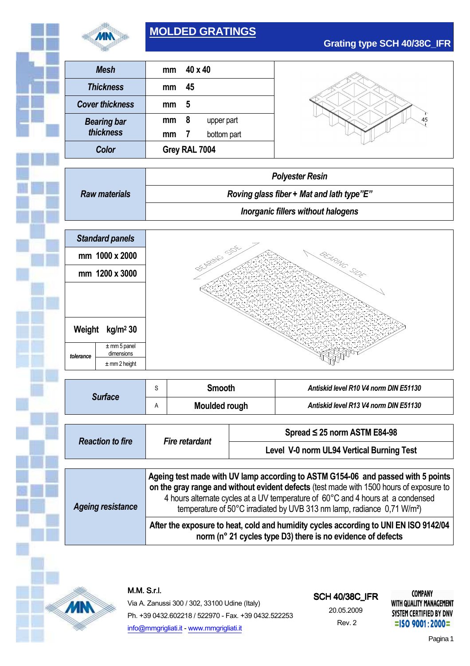

# **MOLDED GRATINGS**

| Mesh                   | mm            | 40 x 40        |             |
|------------------------|---------------|----------------|-------------|
| <b>Thickness</b>       | mm            | 45             |             |
| <b>Cover thickness</b> | mm            | 5              |             |
| <b>Bearing bar</b>     | mm            | 8              | upper part  |
| thickness              | mm            | $\overline{I}$ | bottom part |
| Color                  | Grey RAL 7004 |                |             |

**Grating type SCH 40/38C\_IFR**

|                      | <b>Polyester Resin</b>                    |  |
|----------------------|-------------------------------------------|--|
| <b>Raw materials</b> | Roving glass fiber + Mat and lath type"E" |  |
|                      | Inorganic fillers without halogens        |  |
|                      |                                           |  |



| S<br><b>Surface</b>                                                                                                                                                                                                                                                                                                                                                               |                                                                                                                                                     | <b>Smooth</b>        |                                           | Antiskid level R10 V4 norm DIN E51130 |  |
|-----------------------------------------------------------------------------------------------------------------------------------------------------------------------------------------------------------------------------------------------------------------------------------------------------------------------------------------------------------------------------------|-----------------------------------------------------------------------------------------------------------------------------------------------------|----------------------|-------------------------------------------|---------------------------------------|--|
|                                                                                                                                                                                                                                                                                                                                                                                   | Α                                                                                                                                                   | <b>Moulded rough</b> |                                           | Antiskid level R13 V4 norm DIN E51130 |  |
|                                                                                                                                                                                                                                                                                                                                                                                   |                                                                                                                                                     |                      |                                           |                                       |  |
| <b>Reaction to fire</b>                                                                                                                                                                                                                                                                                                                                                           | <b>Fire retardant</b>                                                                                                                               |                      | Spread $\leq$ 25 norm ASTM E84-98         |                                       |  |
|                                                                                                                                                                                                                                                                                                                                                                                   |                                                                                                                                                     |                      | Level V-0 norm UL94 Vertical Burning Test |                                       |  |
|                                                                                                                                                                                                                                                                                                                                                                                   |                                                                                                                                                     |                      |                                           |                                       |  |
| Ageing test made with UV lamp according to ASTM G154-06 and passed with 5 points<br>on the gray range and without evident defects (test made with 1500 hours of exposure to<br>4 hours alternate cycles at a UV temperature of 60°C and 4 hours at a condensed<br><b>Ageing resistance</b><br>temperature of 50°C irradiated by UVB 313 nm lamp, radiance 0,71 W/m <sup>2</sup> ) |                                                                                                                                                     |                      |                                           |                                       |  |
|                                                                                                                                                                                                                                                                                                                                                                                   | After the exposure to heat, cold and humidity cycles according to UNI EN ISO 9142/04<br>norm (n° 21 cycles type D3) there is no evidence of defects |                      |                                           |                                       |  |



M.M.S.r.l.

Via A. Zanussi 300 / 302, 33100 Udine (Italy) Ph. +39 0432.602218 / 522970 - Fax. +39 0432.522253 info@mmgrigliati.it - www.mmgrigliati.it

## **SCH 40/38C\_IFR**

20.05.2009 Rev. 2

**COMPANY** WITH QUALITY MANAGEMENT SYSTEM CERTIFIED BY DNV  $=$ ISO 9001:2000=